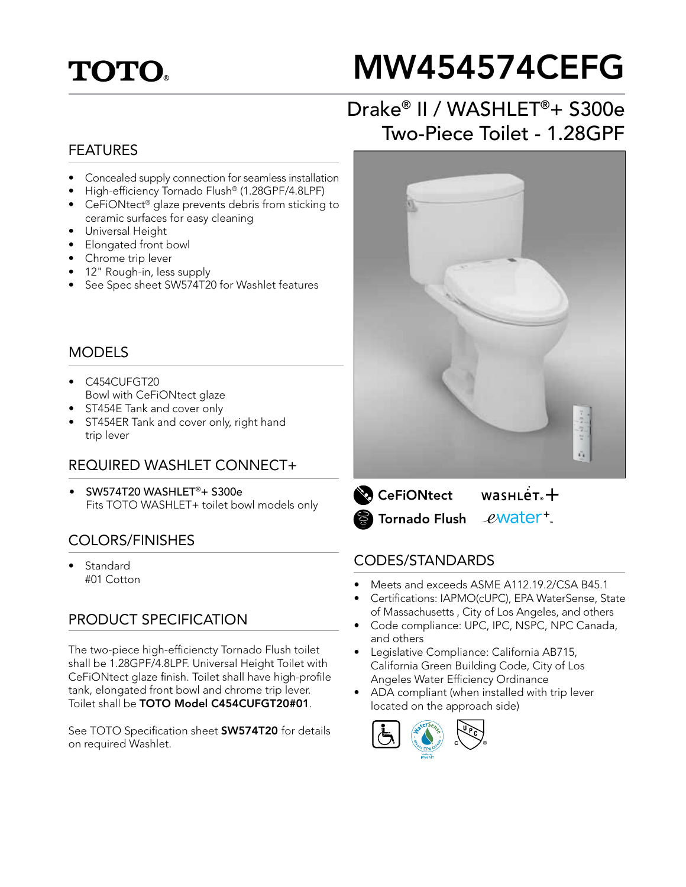# **TOTO.**

# MW454574CEFG

## Drake® II / WASHLET®+ S300e Two-Piece Toilet - 1.28GPF

#### FEATURES

- Concealed supply connection for seamless installation
- High-efficiency Tornado Flush® (1.28GPF/4.8LPF)
- CeFiONtect<sup>®</sup> glaze prevents debris from sticking to ceramic surfaces for easy cleaning
- Universal Height
- Elongated front bowl
- Chrome trip lever
- 12" Rough-in, less supply
- See Spec sheet SW574T20 for Washlet features

#### MODELS

- C454CUFGT20 Bowl with CeFiONtect glaze
- ST454E Tank and cover only
- ST454ER Tank and cover only, right hand trip lever

#### REQUIRED WASHLET CONNECT+

• SW574T20 WASHLET®+ S300e Fits TOTO WASHLET+ toilet bowl models only

#### COLORS/FINISHES

**Standard** #01 Cotton

#### PRODUCT SPECIFICATION

The two-piece high-efficiencty Tornado Flush toilet shall be 1.28GPF/4.8LPF. Universal Height Toilet with CeFiONtect glaze finish. Toilet shall have high-profile tank, elongated front bowl and chrome trip lever. Toilet shall be TOTO Model C454CUFGT20#01.

See TOTO Specification sheet **SW574T20** for details on required Washlet.



 $wasnLér +$ **CeFiONtect** ewater<sup>+</sup> Tornado Flush

#### CODES/STANDARDS

- Meets and exceeds ASME A112.19.2/CSA B45.1
- Certifications: IAPMO(cUPC), EPA WaterSense, State of Massachusetts , City of Los Angeles, and others
- Code compliance: UPC, IPC, NSPC, NPC Canada, and others
- Legislative Compliance: California AB715, California Green Building Code, City of Los Angeles Water Efficiency Ordinance
- ADA compliant (when installed with trip lever located on the approach side)